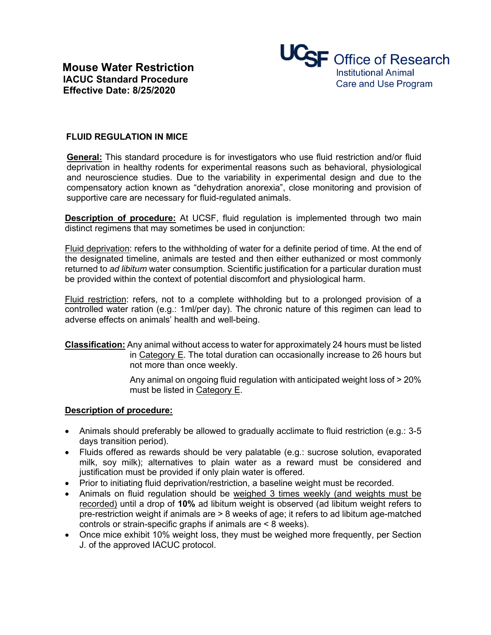

## **FLUID REGULATION IN MICE**

**General:** This standard procedure is for investigators who use fluid restriction and/or fluid deprivation in healthy rodents for experimental reasons such as behavioral, physiological and neuroscience studies. Due to the variability in experimental design and due to the compensatory action known as "dehydration anorexia", close monitoring and provision of supportive care are necessary for fluid-regulated animals.

**Description of procedure:** At UCSF, fluid regulation is implemented through two main distinct regimens that may sometimes be used in conjunction:

Fluid deprivation: refers to the withholding of water for a definite period of time. At the end of the designated timeline, animals are tested and then either euthanized or most commonly returned to *ad libitum* water consumption. Scientific justification for a particular duration must be provided within the context of potential discomfort and physiological harm.

Fluid restriction: refers, not to a complete withholding but to a prolonged provision of a controlled water ration (e.g.: 1ml/per day). The chronic nature of this regimen can lead to adverse effects on animals' health and well-being.

**Classification:** Any animal without access to water for approximately 24 hours must be listed in Category E. The total duration can occasionally increase to 26 hours but not more than once weekly.

> Any animal on ongoing fluid regulation with anticipated weight loss of > 20% must be listed in Category E.

## **Description of procedure:**

- Animals should preferably be allowed to gradually acclimate to fluid restriction (e.g.: 3-5 days transition period).
- Fluids offered as rewards should be very palatable (e.g.: sucrose solution, evaporated milk, soy milk); alternatives to plain water as a reward must be considered and justification must be provided if only plain water is offered.
- Prior to initiating fluid deprivation/restriction, a baseline weight must be recorded.
- Animals on fluid regulation should be weighed 3 times weekly (and weights must be recorded) until a drop of **10%** ad libitum weight is observed (ad libitum weight refers to pre-restriction weight if animals are > 8 weeks of age; it refers to ad libitum age-matched controls or strain-specific graphs if animals are < 8 weeks).
- Once mice exhibit 10% weight loss, they must be weighed more frequently, per Section J. of the approved IACUC protocol.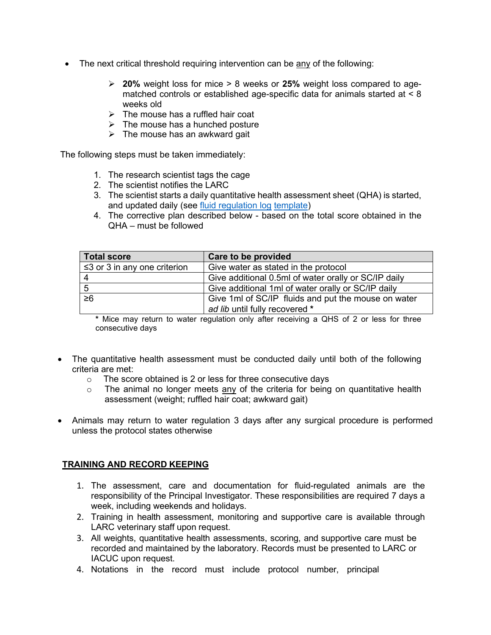- The next critical threshold requiring intervention can be any of the following:
	- **20%** weight loss for mice > 8 weeks or **25%** weight loss compared to agematched controls or established age-specific data for animals started at  $\leq 8$ weeks old
	- $\triangleright$  The mouse has a ruffled hair coat
	- $\triangleright$  The mouse has a hunched posture
	- $\triangleright$  The mouse has an awkward gait

The following steps must be taken immediately:

- 1. The research scientist tags the cage
- 2. The scientist notifies the LARC
- 3. The scientist starts a daily quantitative health assessment sheet (QHA) is started, and updated daily (see [fluid regulation log](https://iacuc.ucsf.edu/sites/g/files/tkssra751/f/wysiwyg/Fluid%20Regulation%20Log%20Template.xlsx) [template\)](https://iacuc.ucsf.edu/sites/g/files/tkssra751/f/wysiwyg/Fluid%20Regulation%20Log%20Template.xlsx)
- 4. The corrective plan described below based on the total score obtained in the QHA – must be followed

| <b>Total score</b>                 | Care to be provided                                  |  |
|------------------------------------|------------------------------------------------------|--|
| $\leq$ 3 or 3 in any one criterion | Give water as stated in the protocol                 |  |
|                                    | Give additional 0.5ml of water orally or SC/IP daily |  |
| 5                                  | Give additional 1ml of water orally or SC/IP daily   |  |
| $\geq 6$                           | Give 1ml of SC/IP fluids and put the mouse on water  |  |
|                                    | ad lib until fully recovered *                       |  |

**\*** Mice may return to water regulation only after receiving a QHS of 2 or less for three consecutive days

- The quantitative health assessment must be conducted daily until both of the following criteria are met:
	- $\circ$  The score obtained is 2 or less for three consecutive days  $\circ$  The animal no longer meets any of the criteria for being
	- The animal no longer meets any of the criteria for being on quantitative health assessment (weight; ruffled hair coat; awkward gait)
- Animals may return to water regulation 3 days after any surgical procedure is performed unless the protocol states otherwise

## **TRAINING AND RECORD KEEPING**

- 1. The assessment, care and documentation for fluid-regulated animals are the responsibility of the Principal Investigator. These responsibilities are required 7 days a week, including weekends and holidays.
- 2. Training in health assessment, monitoring and supportive care is available through LARC veterinary staff upon request.
- 3. All weights, quantitative health assessments, scoring, and supportive care must be recorded and maintained by the laboratory. Records must be presented to LARC or IACUC upon request.
- 4. Notations in the record must include protocol number, principal